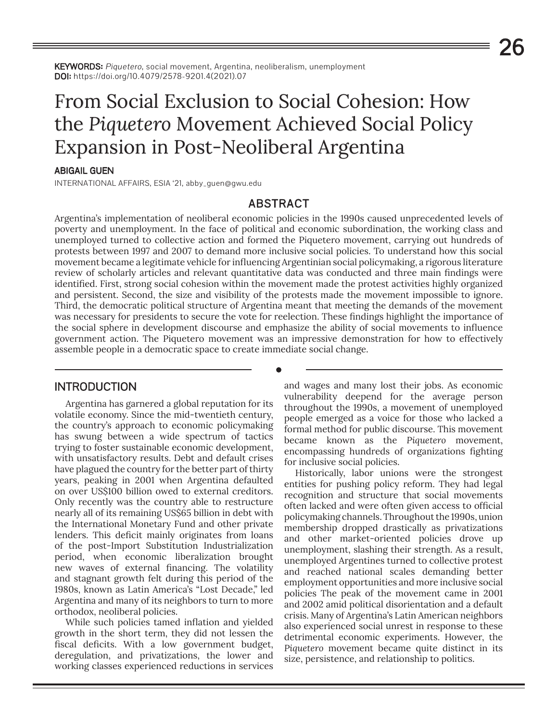KEYWORDS: Piquetero, social movement, Argentina, neoliberalism, unemployment DOI: https://doi.org/10.4079/2578-9201.4(2021).07

# From Social Exclusion to Social Cohesion: How the *Piquetero* Movement Achieved Social Policy Expansion in Post-Neoliberal Argentina

#### ABIGAIL GUEN

INTERNATIONAL AFFAIRS, ESIA '21, abby\_guen@gwu.edu

## ABSTRACT

Argentina's implementation of neoliberal economic policies in the 1990s caused unprecedented levels of poverty and unemployment. In the face of political and economic subordination, the working class and unemployed turned to collective action and formed the Piquetero movement, carrying out hundreds of protests between 1997 and 2007 to demand more inclusive social policies. To understand how this social movement became a legitimate vehicle for influencing Argentinian social policymaking, a rigorous literature review of scholarly articles and relevant quantitative data was conducted and three main findings were identified. First, strong social cohesion within the movement made the protest activities highly organized and persistent. Second, the size and visibility of the protests made the movement impossible to ignore. Third, the democratic political structure of Argentina meant that meeting the demands of the movement was necessary for presidents to secure the vote for reelection. These findings highlight the importance of the social sphere in development discourse and emphasize the ability of social movements to influence government action. The Piquetero movement was an impressive demonstration for how to effectively assemble people in a democratic space to create immediate social change.

**•**

## **INTRODUCTION**

Argentina has garnered a global reputation for its volatile economy. Since the mid-twentieth century, the country's approach to economic policymaking has swung between a wide spectrum of tactics trying to foster sustainable economic development, with unsatisfactory results. Debt and default crises have plagued the country for the better part of thirty years, peaking in 2001 when Argentina defaulted on over US\$100 billion owed to external creditors. Only recently was the country able to restructure nearly all of its remaining US\$65 billion in debt with the International Monetary Fund and other private lenders. This deficit mainly originates from loans of the post-Import Substitution Industrialization period, when economic liberalization brought new waves of external financing. The volatility and stagnant growth felt during this period of the 1980s, known as Latin America's "Lost Decade," led Argentina and many of its neighbors to turn to more orthodox, neoliberal policies.

While such policies tamed inflation and yielded growth in the short term, they did not lessen the fiscal deficits. With a low government budget, deregulation, and privatizations, the lower and working classes experienced reductions in services and wages and many lost their jobs. As economic vulnerability deepend for the average person throughout the 1990s, a movement of unemployed people emerged as a voice for those who lacked a formal method for public discourse. This movement became known as the *Piquetero* movement, encompassing hundreds of organizations fighting for inclusive social policies.

Historically, labor unions were the strongest entities for pushing policy reform. They had legal recognition and structure that social movements often lacked and were often given access to official policymaking channels. Throughout the 1990s, union membership dropped drastically as privatizations and other market-oriented policies drove up unemployment, slashing their strength. As a result, unemployed Argentines turned to collective protest and reached national scales demanding better employment opportunities and more inclusive social policies The peak of the movement came in 2001 and 2002 amid political disorientation and a default crisis. Many of Argentina's Latin American neighbors also experienced social unrest in response to these detrimental economic experiments. However, the *Piquetero* movement became quite distinct in its size, persistence, and relationship to politics.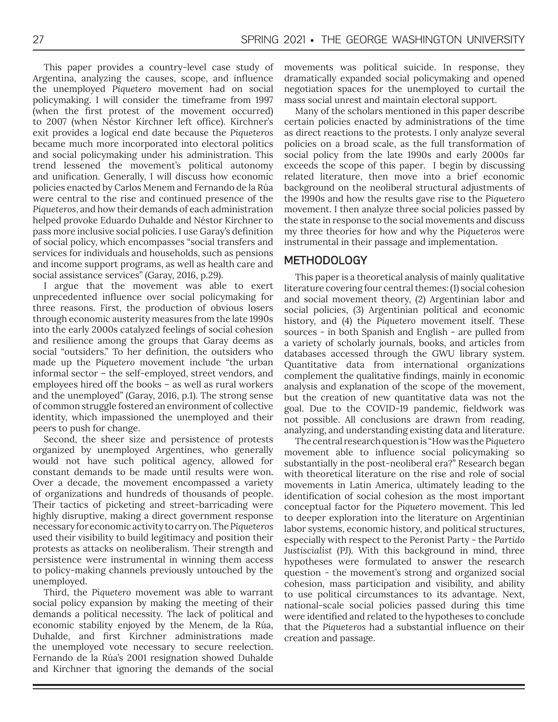This paper provides a country-level case study of Argentina, analyzing the causes, scope, and influence the unemployed *Piquetero* movement had on social policymaking. I will consider the timeframe from 1997 (when the first protest of the movement occurred) to 2007 (when Néstor Kirchner left office). Kirchner's exit provides a logical end date because the *Piqueteros* became much more incorporated into electoral politics and social policymaking under his administration. This trend lessened the movement's political autonomy and unification. Generally, I will discuss how economic policies enacted by Carlos Menem and Fernando de la Rúa were central to the rise and continued presence of the *Piqueteros*, and how their demands of each administration helped provoke Eduardo Duhalde and Néstor Kirchner to pass more inclusive social policies. I use Garay's definition of social policy, which encompasses "social transfers and services for individuals and households, such as pensions and income support programs, as well as health care and social assistance services" (Garay, 2016, p.29).

I argue that the movement was able to exert unprecedented influence over social policymaking for three reasons. First, the production of obvious losers through economic austerity measures from the late 1990s into the early 2000s catalyzed feelings of social cohesion and resilience among the groups that Garay deems as social "outsiders." To her definition, the outsiders who made up the *Piquetero* movement include "the urban informal sector – the self-employed, street vendors, and employees hired off the books – as well as rural workers and the unemployed" (Garay, 2016, p.1). The strong sense of common struggle fostered an environment of collective identity, which impassioned the unemployed and their peers to push for change.

Second, the sheer size and persistence of protests organized by unemployed Argentines, who generally would not have such political agency, allowed for constant demands to be made until results were won. Over a decade, the movement encompassed a variety of organizations and hundreds of thousands of people. Their tactics of picketing and street-barricading were highly disruptive, making a direct government response necessary for economic activity to carry on. The *Piqueteros* used their visibility to build legitimacy and position their protests as attacks on neoliberalism. Their strength and persistence were instrumental in winning them access to policy-making channels previously untouched by the unemployed.

Third, the *Piquetero* movement was able to warrant social policy expansion by making the meeting of their demands a political necessity. The lack of political and economic stability enjoyed by the Menem, de la Rúa, Duhalde, and first Kirchner administrations made the unemployed vote necessary to secure reelection. Fernando de la Rúa's 2001 resignation showed Duhalde and Kirchner that ignoring the demands of the social

movements was political suicide. In response, they dramatically expanded social policymaking and opened negotiation spaces for the unemployed to curtail the mass social unrest and maintain electoral support.

Many of the scholars mentioned in this paper describe certain policies enacted by administrations of the time as direct reactions to the protests. I only analyze several policies on a broad scale, as the full transformation of social policy from the late 1990s and early 2000s far exceeds the scope of this paper. I begin by discussing related literature, then move into a brief economic background on the neoliberal structural adjustments of the 1990s and how the results gave rise to the *Piquetero* movement. I then analyze three social policies passed by the state in response to the social movements and discuss my three theories for how and why the *Piqueteros* were instrumental in their passage and implementation.

## METHODOLOGY

This paper is a theoretical analysis of mainly qualitative literature covering four central themes: (1) social cohesion and social movement theory, (2) Argentinian labor and social policies, (3) Argentinian political and economic history, and (4) the *Piquetero* movement itself. These sources - in both Spanish and English - are pulled from a variety of scholarly journals, books, and articles from databases accessed through the GWU library system. Quantitative data from international organizations complement the qualitative findings, mainly in economic analysis and explanation of the scope of the movement, but the creation of new quantitative data was not the goal. Due to the COVID-19 pandemic, fieldwork was not possible. All conclusions are drawn from reading, analyzing, and understanding existing data and literature.

The central research question is "How was the *Piquetero* movement able to influence social policymaking so substantially in the post-neoliberal era?" Research began with theoretical literature on the rise and role of social movements in Latin America, ultimately leading to the identification of social cohesion as the most important conceptual factor for the *Piquetero* movement. This led to deeper exploration into the literature on Argentinian labor systems, economic history, and political structures, especially with respect to the Peronist Party - the *Partido Justiscialist* (PJ). With this background in mind, three hypotheses were formulated to answer the research question - the movement's strong and organized social cohesion, mass participation and visibility, and ability to use political circumstances to its advantage. Next, national-scale social policies passed during this time were identified and related to the hypotheses to conclude that the *Piqueteros* had a substantial influence on their creation and passage.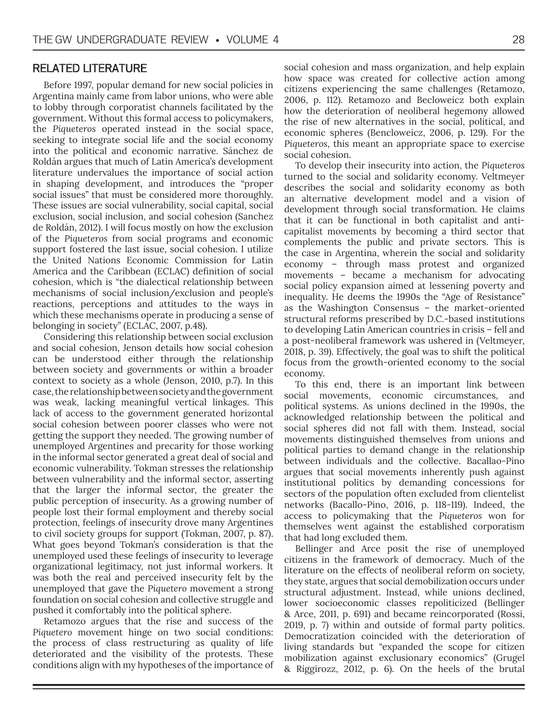## RELATED LITERATURE

Before 1997, popular demand for new social policies in Argentina mainly came from labor unions, who were able to lobby through corporatist channels facilitated by the government. Without this formal access to policymakers, the *Piqueteros* operated instead in the social space, seeking to integrate social life and the social economy into the political and economic narrative. Sánchez de Roldán argues that much of Latin America's development literature undervalues the importance of social action in shaping development, and introduces the "proper social issues" that must be considered more thoroughly. These issues are social vulnerability, social capital, social exclusion, social inclusion, and social cohesion (Sanchez de Roldán, 2012). I will focus mostly on how the exclusion of the *Piqueteros* from social programs and economic support fostered the last issue, social cohesion. I utilize the United Nations Economic Commission for Latin America and the Caribbean (ECLAC) definition of social cohesion, which is "the dialectical relationship between mechanisms of social inclusion/exclusion and people's reactions, perceptions and attitudes to the ways in which these mechanisms operate in producing a sense of belonging in society" (ECLAC, 2007, p.48).

Considering this relationship between social exclusion and social cohesion, Jenson details how social cohesion can be understood either through the relationship between society and governments or within a broader context to society as a whole (Jenson, 2010, p.7). In this case, the relationship between society and the government was weak, lacking meaningful vertical linkages. This lack of access to the government generated horizontal social cohesion between poorer classes who were not getting the support they needed. The growing number of unemployed Argentines and precarity for those working in the informal sector generated a great deal of social and economic vulnerability. Tokman stresses the relationship between vulnerability and the informal sector, asserting that the larger the informal sector, the greater the public perception of insecurity. As a growing number of people lost their formal employment and thereby social protection, feelings of insecurity drove many Argentines to civil society groups for support (Tokman, 2007, p. 87). What goes beyond Tokman's consideration is that the unemployed used these feelings of insecurity to leverage organizational legitimacy, not just informal workers. It was both the real and perceived insecurity felt by the unemployed that gave the *Piquetero* movement a strong foundation on social cohesion and collective struggle and pushed it comfortably into the political sphere.

Retamozo argues that the rise and success of the *Piquetero* movement hinge on two social conditions: the process of class restructuring as quality of life deteriorated and the visibility of the protests. These conditions align with my hypotheses of the importance of social cohesion and mass organization, and help explain how space was created for collective action among citizens experiencing the same challenges (Retamozo, 2006, p. 112). Retamozo and Becloweicz both explain how the deterioration of neoliberal hegemony allowed the rise of new alternatives in the social, political, and economic spheres (Bencloweicz, 2006, p. 129). For the *Piqueteros*, this meant an appropriate space to exercise social cohesion.

To develop their insecurity into action, the *Piqueteros* turned to the social and solidarity economy. Veltmeyer describes the social and solidarity economy as both an alternative development model and a vision of development through social transformation. He claims that it can be functional in both capitalist and anticapitalist movements by becoming a third sector that complements the public and private sectors. This is the case in Argentina, wherein the social and solidarity economy – through mass protest and organized movements – became a mechanism for advocating social policy expansion aimed at lessening poverty and inequality. He deems the 1990s the "Age of Resistance" as the Washington Consensus – the market-oriented structural reforms prescribed by D.C.-based institutions to developing Latin American countries in crisis – fell and a post-neoliberal framework was ushered in (Veltmeyer, 2018, p. 39). Effectively, the goal was to shift the political focus from the growth-oriented economy to the social economy.

To this end, there is an important link between social movements, economic circumstances, and political systems. As unions declined in the 1990s, the acknowledged relationship between the political and social spheres did not fall with them. Instead, social movements distinguished themselves from unions and political parties to demand change in the relationship between individuals and the collective. Bacallao-Pino argues that social movements inherently push against institutional politics by demanding concessions for sectors of the population often excluded from clientelist networks (Bacallo-Pino, 2016, p. 118-119). Indeed, the access to policymaking that the *Piqueteros* won for themselves went against the established corporatism that had long excluded them.

Bellinger and Arce posit the rise of unemployed citizens in the framework of democracy. Much of the literature on the effects of neoliberal reform on society, they state, argues that social demobilization occurs under structural adjustment. Instead, while unions declined, lower socioeconomic classes repoliticized (Bellinger & Arce, 2011, p. 691) and became reincorporated (Rossi, 2019, p. 7) within and outside of formal party politics. Democratization coincided with the deterioration of living standards but "expanded the scope for citizen mobilization against exclusionary economics" (Grugel & Riggirozz, 2012, p. 6). On the heels of the brutal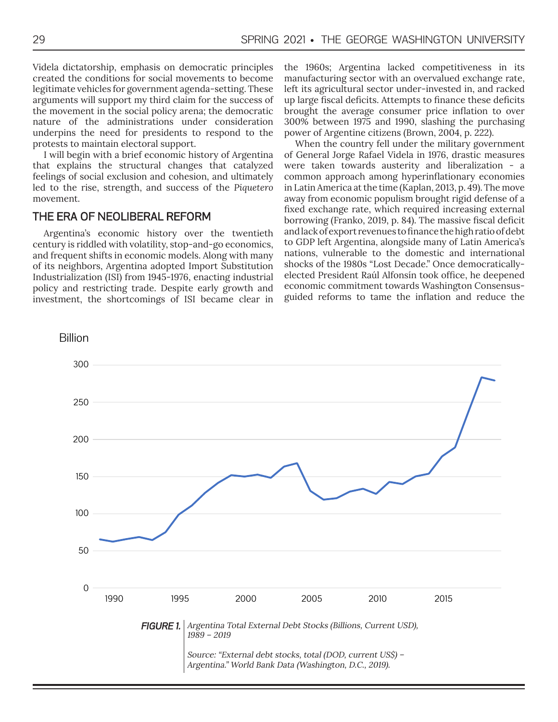Videla dictatorship, emphasis on democratic principles created the conditions for social movements to become legitimate vehicles for government agenda-setting. These arguments will support my third claim for the success of the movement in the social policy arena; the democratic nature of the administrations under consideration underpins the need for presidents to respond to the protests to maintain electoral support.

I will begin with a brief economic history of Argentina that explains the structural changes that catalyzed feelings of social exclusion and cohesion, and ultimately led to the rise, strength, and success of the *Piquetero* movement.

## THE ERA OF NEOLIBERAL REFORM

Argentina's economic history over the twentieth century is riddled with volatility, stop-and-go economics, and frequent shifts in economic models. Along with many of its neighbors, Argentina adopted Import Substitution Industrialization (ISI) from 1945-1976, enacting industrial policy and restricting trade. Despite early growth and investment, the shortcomings of ISI became clear in the 1960s; Argentina lacked competitiveness in its manufacturing sector with an overvalued exchange rate, left its agricultural sector under-invested in, and racked up large fiscal deficits. Attempts to finance these deficits brought the average consumer price inflation to over 300% between 1975 and 1990, slashing the purchasing power of Argentine citizens (Brown, 2004, p. 222).

When the country fell under the military government of General Jorge Rafael Videla in 1976, drastic measures were taken towards austerity and liberalization - a common approach among hyperinflationary economies in Latin America at the time (Kaplan, 2013, p. 49). The move away from economic populism brought rigid defense of a fixed exchange rate, which required increasing external borrowing (Franko, 2019, p. 84). The massive fiscal deficit and lack of export revenues to finance the high ratio of debt to GDP left Argentina, alongside many of Latin America's nations, vulnerable to the domestic and international shocks of the 1980s "Lost Decade." Once democraticallyelected President Raúl Alfonsín took office, he deepened economic commitment towards Washington Consensusguided reforms to tame the inflation and reduce the

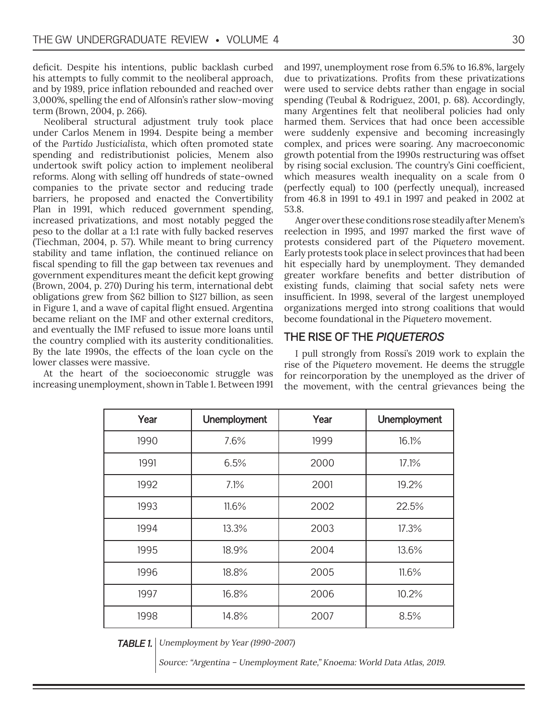deficit. Despite his intentions, public backlash curbed his attempts to fully commit to the neoliberal approach, and by 1989, price inflation rebounded and reached over 3,000%, spelling the end of Alfonsín's rather slow-moving term (Brown, 2004, p. 266).

Neoliberal structural adjustment truly took place under Carlos Menem in 1994. Despite being a member of the *Partido Justicialista*, which often promoted state spending and redistributionist policies, Menem also undertook swift policy action to implement neoliberal reforms. Along with selling off hundreds of state-owned companies to the private sector and reducing trade barriers, he proposed and enacted the Convertibility Plan in 1991, which reduced government spending, increased privatizations, and most notably pegged the peso to the dollar at a 1:1 rate with fully backed reserves (Tiechman, 2004, p. 57). While meant to bring currency stability and tame inflation, the continued reliance on fiscal spending to fill the gap between tax revenues and government expenditures meant the deficit kept growing (Brown, 2004, p. 270) During his term, international debt obligations grew from \$62 billion to \$127 billion, as seen in Figure 1, and a wave of capital flight ensued. Argentina became reliant on the IMF and other external creditors, and eventually the IMF refused to issue more loans until the country complied with its austerity conditionalities. By the late 1990s, the effects of the loan cycle on the lower classes were massive.

At the heart of the socioeconomic struggle was increasing unemployment, shown in Table 1. Between 1991 and 1997, unemployment rose from 6.5% to 16.8%, largely due to privatizations. Profits from these privatizations were used to service debts rather than engage in social spending (Teubal & Rodriguez, 2001, p. 68). Accordingly, many Argentines felt that neoliberal policies had only harmed them. Services that had once been accessible were suddenly expensive and becoming increasingly complex, and prices were soaring. Any macroeconomic growth potential from the 1990s restructuring was offset by rising social exclusion. The country's Gini coefficient, which measures wealth inequality on a scale from 0 (perfectly equal) to 100 (perfectly unequal), increased from 46.8 in 1991 to 49.1 in 1997 and peaked in 2002 at 53.8.

Anger over these conditions rose steadily after Menem's reelection in 1995, and 1997 marked the first wave of protests considered part of the *Piquetero* movement. Early protests took place in select provinces that had been hit especially hard by unemployment. They demanded greater workfare benefits and better distribution of existing funds, claiming that social safety nets were insufficient. In 1998, several of the largest unemployed organizations merged into strong coalitions that would become foundational in the *Piquetero* movement.

## THE RISE OF THE PIQUETEROS

I pull strongly from Rossi's 2019 work to explain the rise of the *Piquetero* movement. He deems the struggle for reincorporation by the unemployed as the driver of the movement, with the central grievances being the

| Year | Unemployment | Year | Unemployment |
|------|--------------|------|--------------|
| 1990 | 7.6%         | 1999 | 16.1%        |
| 1991 | 6.5%         | 2000 | 17.1%        |
| 1992 | 7.1%         | 2001 | 19.2%        |
| 1993 | 11.6%        | 2002 | 22.5%        |
| 1994 | 13.3%        | 2003 | 17.3%        |
| 1995 | 18.9%        | 2004 | 13.6%        |
| 1996 | 18.8%        | 2005 | 11.6%        |
| 1997 | 16.8%        | 2006 | 10.2%        |
| 1998 | 14.8%        | 2007 | 8.5%         |

**TABLE 1.** Unemployment by Year (1990-2007)

Source: "Argentina – Unemployment Rate," Knoema: World Data Atlas, 2019.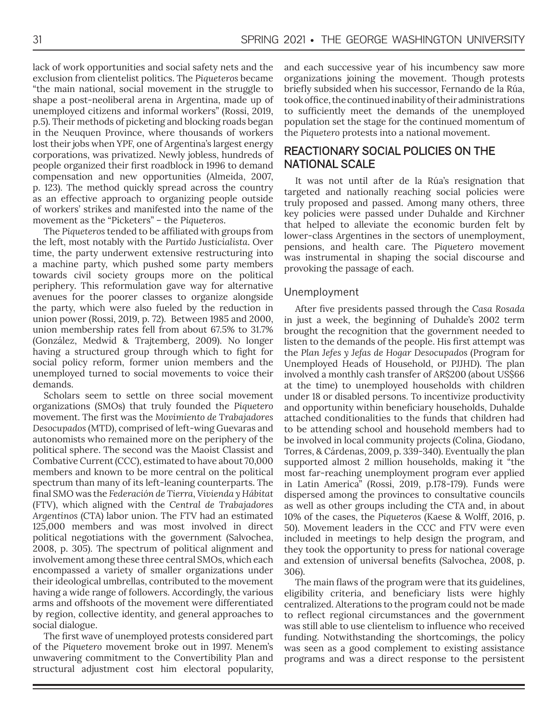lack of work opportunities and social safety nets and the exclusion from clientelist politics. The *Piqueteros* became "the main national, social movement in the struggle to shape a post-neoliberal arena in Argentina, made up of unemployed citizens and informal workers" (Rossi, 2019, p.5). Their methods of picketing and blocking roads began in the Neuquen Province, where thousands of workers lost their jobs when YPF, one of Argentina's largest energy corporations, was privatized. Newly jobless, hundreds of people organized their first roadblock in 1996 to demand compensation and new opportunities (Almeida, 2007, p. 123). The method quickly spread across the country as an effective approach to organizing people outside of workers' strikes and manifested into the name of the movement as the "Picketers" – the *Piqueteros*.

The *Piqueteros* tended to be affiliated with groups from the left, most notably with the *Partido Justicialista*. Over time, the party underwent extensive restructuring into a machine party, which pushed some party members towards civil society groups more on the political periphery. This reformulation gave way for alternative avenues for the poorer classes to organize alongside the party, which were also fueled by the reduction in union power (Rossi, 2019, p. 72). Between 1985 and 2000, union membership rates fell from about 67.5% to 31.7% (González, Medwid & Trajtemberg, 2009). No longer having a structured group through which to fight for social policy reform, former union members and the unemployed turned to social movements to voice their demands.

Scholars seem to settle on three social movement organizations (SMOs) that truly founded the *Piquetero* movement. The first was the *Movimiento de Trabajadores Desocupados* (MTD), comprised of left-wing Guevaras and autonomists who remained more on the periphery of the political sphere. The second was the Maoist Classist and Combative Current (CCC), estimated to have about 70,000 members and known to be more central on the political spectrum than many of its left-leaning counterparts. The final SMO was the *Federación de Tierra*, *Vivienda y Hábitat*  (FTV), which aligned with the *Central de Trabajadores Argentinos* (CTA) labor union. The FTV had an estimated 125,000 members and was most involved in direct political negotiations with the government (Salvochea, 2008, p. 305). The spectrum of political alignment and involvement among these three central SMOs, which each encompassed a variety of smaller organizations under their ideological umbrellas, contributed to the movement having a wide range of followers. Accordingly, the various arms and offshoots of the movement were differentiated by region, collective identity, and general approaches to social dialogue.

The first wave of unemployed protests considered part of the *Piquetero* movement broke out in 1997. Menem's unwavering commitment to the Convertibility Plan and structural adjustment cost him electoral popularity, and each successive year of his incumbency saw more organizations joining the movement. Though protests briefly subsided when his successor, Fernando de la Rúa, took office, the continued inability of their administrations to sufficiently meet the demands of the unemployed population set the stage for the continued momentum of the *Piquetero* protests into a national movement.

## REACTIONARY SOCIAL POLICIES ON THE NATIONAL SCALE

It was not until after de la Rúa's resignation that targeted and nationally reaching social policies were truly proposed and passed. Among many others, three key policies were passed under Duhalde and Kirchner that helped to alleviate the economic burden felt by lower-class Argentines in the sectors of unemployment, pensions, and health care. The *Piquetero* movement was instrumental in shaping the social discourse and provoking the passage of each.

## Unemployment

After five presidents passed through the *Casa Rosada*  in just a week, the beginning of Duhalde's 2002 term brought the recognition that the government needed to listen to the demands of the people. His first attempt was the *Plan Jefes y Jefas de Hogar Desocupados* (Program for Unemployed Heads of Household, or PJJHD). The plan involved a monthly cash transfer of AR\$200 (about US\$66 at the time) to unemployed households with children under 18 or disabled persons. To incentivize productivity and opportunity within beneficiary households, Duhalde attached conditionalities to the funds that children had to be attending school and household members had to be involved in local community projects (Colina, Giodano, Torres, & Cárdenas, 2009, p. 339-340). Eventually the plan supported almost 2 million households, making it "the most far-reaching unemployment program ever applied in Latin America" (Rossi, 2019, p.178-179). Funds were dispersed among the provinces to consultative councils as well as other groups including the CTA and, in about 10% of the cases, the *Piqueteros* (Kaese & Wolff, 2016, p. 50). Movement leaders in the CCC and FTV were even included in meetings to help design the program, and they took the opportunity to press for national coverage and extension of universal benefits (Salvochea, 2008, p. 306).

The main flaws of the program were that its guidelines, eligibility criteria, and beneficiary lists were highly centralized. Alterations to the program could not be made to reflect regional circumstances and the government was still able to use clientelism to influence who received funding. Notwithstanding the shortcomings, the policy was seen as a good complement to existing assistance programs and was a direct response to the persistent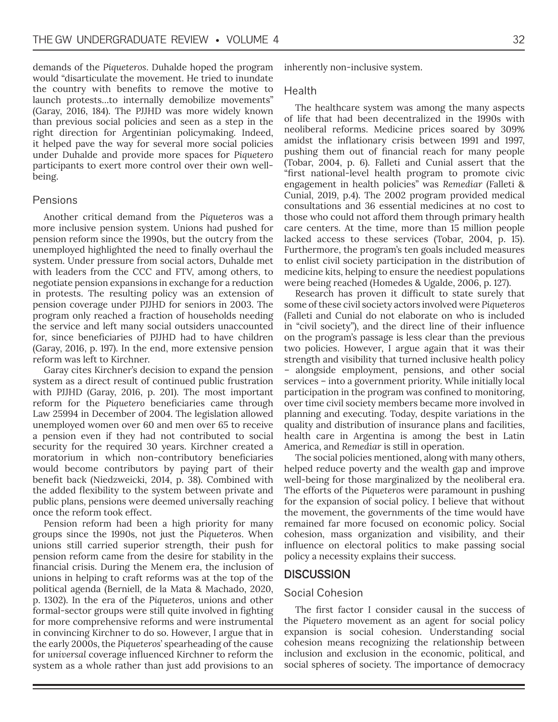demands of the *Piqueteros*. Duhalde hoped the program would "disarticulate the movement. He tried to inundate the country with benefits to remove the motive to launch protests…to internally demobilize movements" (Garay, 2016, 184). The PJJHD was more widely known than previous social policies and seen as a step in the right direction for Argentinian policymaking. Indeed, it helped pave the way for several more social policies under Duhalde and provide more spaces for *Piquetero* participants to exert more control over their own wellbeing.

## Pensions

Another critical demand from the *Piqueteros* was a more inclusive pension system. Unions had pushed for pension reform since the 1990s, but the outcry from the unemployed highlighted the need to finally overhaul the system. Under pressure from social actors, Duhalde met with leaders from the CCC and FTV, among others, to negotiate pension expansions in exchange for a reduction in protests. The resulting policy was an extension of pension coverage under PJJHD for seniors in 2003. The program only reached a fraction of households needing the service and left many social outsiders unaccounted for, since beneficiaries of PJJHD had to have children (Garay, 2016, p. 197). In the end, more extensive pension reform was left to Kirchner.

Garay cites Kirchner's decision to expand the pension system as a direct result of continued public frustration with PJJHD (Garay, 2016, p. 201). The most important reform for the *Piquetero* beneficiaries came through Law 25994 in December of 2004. The legislation allowed unemployed women over 60 and men over 65 to receive a pension even if they had not contributed to social security for the required 30 years. Kirchner created a moratorium in which non-contributory beneficiaries would become contributors by paying part of their benefit back (Niedzweicki, 2014, p. 38). Combined with the added flexibility to the system between private and public plans, pensions were deemed universally reaching once the reform took effect.

Pension reform had been a high priority for many groups since the 1990s, not just the *Piqueteros*. When unions still carried superior strength, their push for pension reform came from the desire for stability in the financial crisis. During the Menem era, the inclusion of unions in helping to craft reforms was at the top of the political agenda (Berniell, de la Mata & Machado, 2020, p. 1302). In the era of the *Piqueteros*, unions and other formal-sector groups were still quite involved in fighting for more comprehensive reforms and were instrumental in convincing Kirchner to do so. However, I argue that in the early 2000s, the *Piqueteros*' spearheading of the cause for *universal* coverage influenced Kirchner to reform the system as a whole rather than just add provisions to an

inherently non-inclusive system.

#### Health

The healthcare system was among the many aspects of life that had been decentralized in the 1990s with neoliberal reforms. Medicine prices soared by 309% amidst the inflationary crisis between 1991 and 1997, pushing them out of financial reach for many people (Tobar, 2004, p. 6). Falleti and Cunial assert that the "first national-level health program to promote civic engagement in health policies" was *Remediar* (Falleti & Cunial, 2019, p.4). The 2002 program provided medical consultations and 36 essential medicines at no cost to those who could not afford them through primary health care centers. At the time, more than 15 million people lacked access to these services (Tobar, 2004, p. 15). Furthermore, the program's ten goals included measures to enlist civil society participation in the distribution of medicine kits, helping to ensure the neediest populations were being reached (Homedes & Ugalde, 2006, p. 127).

Research has proven it difficult to state surely that some of these civil society actors involved were *Piqueteros* (Falleti and Cunial do not elaborate on who is included in "civil society"), and the direct line of their influence on the program's passage is less clear than the previous two policies. However, I argue again that it was their strength and visibility that turned inclusive health policy – alongside employment, pensions, and other social services – into a government priority. While initially local participation in the program was confined to monitoring, over time civil society members became more involved in planning and executing. Today, despite variations in the quality and distribution of insurance plans and facilities, health care in Argentina is among the best in Latin America, and *Remediar* is still in operation.

The social policies mentioned, along with many others, helped reduce poverty and the wealth gap and improve well-being for those marginalized by the neoliberal era. The efforts of the *Piqueteros* were paramount in pushing for the expansion of social policy. I believe that without the movement, the governments of the time would have remained far more focused on economic policy. Social cohesion, mass organization and visibility, and their influence on electoral politics to make passing social policy a necessity explains their success.

## **DISCUSSION**

#### Social Cohesion

The first factor I consider causal in the success of the *Piquetero* movement as an agent for social policy expansion is social cohesion. Understanding social cohesion means recognizing the relationship between inclusion and exclusion in the economic, political, and social spheres of society. The importance of democracy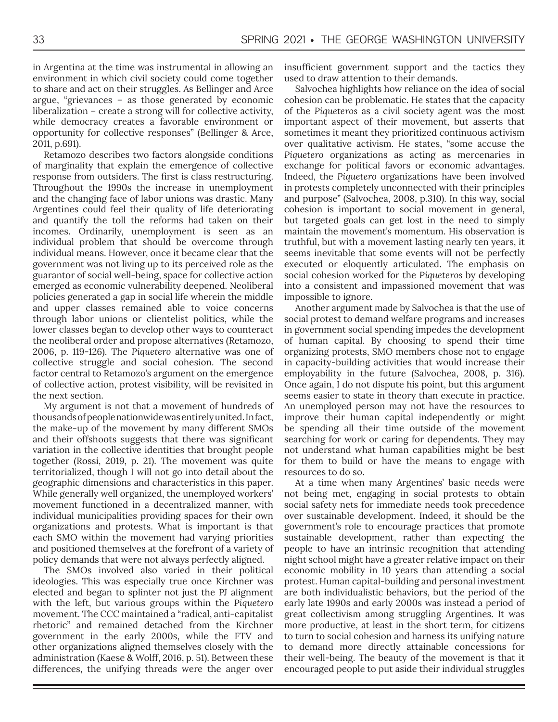in Argentina at the time was instrumental in allowing an environment in which civil society could come together to share and act on their struggles. As Bellinger and Arce argue, "grievances – as those generated by economic liberalization – create a strong will for collective activity, while democracy creates a favorable environment or opportunity for collective responses" (Bellinger & Arce, 2011, p.691).

Retamozo describes two factors alongside conditions of marginality that explain the emergence of collective response from outsiders. The first is class restructuring. Throughout the 1990s the increase in unemployment and the changing face of labor unions was drastic. Many Argentines could feel their quality of life deteriorating and quantify the toll the reforms had taken on their incomes. Ordinarily, unemployment is seen as an individual problem that should be overcome through individual means. However, once it became clear that the government was not living up to its perceived role as the guarantor of social well-being, space for collective action emerged as economic vulnerability deepened. Neoliberal policies generated a gap in social life wherein the middle and upper classes remained able to voice concerns through labor unions or clientelist politics, while the lower classes began to develop other ways to counteract the neoliberal order and propose alternatives (Retamozo, 2006, p. 119-126). The *Piquetero* alternative was one of collective struggle and social cohesion. The second factor central to Retamozo's argument on the emergence of collective action, protest visibility, will be revisited in the next section.

My argument is not that a movement of hundreds of thousands of people nationwide was entirely united. In fact, the make-up of the movement by many different SMOs and their offshoots suggests that there was significant variation in the collective identities that brought people together (Rossi, 2019, p. 21). The movement was quite territorialized, though I will not go into detail about the geographic dimensions and characteristics in this paper. While generally well organized, the unemployed workers' movement functioned in a decentralized manner, with individual municipalities providing spaces for their own organizations and protests. What is important is that each SMO within the movement had varying priorities and positioned themselves at the forefront of a variety of policy demands that were not always perfectly aligned.

The SMOs involved also varied in their political ideologies. This was especially true once Kirchner was elected and began to splinter not just the PJ alignment with the left, but various groups within the *Piquetero* movement. The CCC maintained a "radical, anti-capitalist rhetoric" and remained detached from the Kirchner government in the early 2000s, while the FTV and other organizations aligned themselves closely with the administration (Kaese & Wolff, 2016, p. 51). Between these differences, the unifying threads were the anger over

insufficient government support and the tactics they used to draw attention to their demands.

Salvochea highlights how reliance on the idea of social cohesion can be problematic. He states that the capacity of the *Piqueteros* as a civil society agent was the most important aspect of their movement, but asserts that sometimes it meant they prioritized continuous activism over qualitative activism. He states, "some accuse the *Piquetero* organizations as acting as mercenaries in exchange for political favors or economic advantages. Indeed, the *Piquetero* organizations have been involved in protests completely unconnected with their principles and purpose" (Salvochea, 2008, p.310). In this way, social cohesion is important to social movement in general, but targeted goals can get lost in the need to simply maintain the movement's momentum. His observation is truthful, but with a movement lasting nearly ten years, it seems inevitable that some events will not be perfectly executed or eloquently articulated. The emphasis on social cohesion worked for the *Piqueteros* by developing into a consistent and impassioned movement that was impossible to ignore.

Another argument made by Salvochea is that the use of social protest to demand welfare programs and increases in government social spending impedes the development of human capital. By choosing to spend their time organizing protests, SMO members chose not to engage in capacity-building activities that would increase their employability in the future (Salvochea, 2008, p. 316). Once again, I do not dispute his point, but this argument seems easier to state in theory than execute in practice. An unemployed person may not have the resources to improve their human capital independently or might be spending all their time outside of the movement searching for work or caring for dependents. They may not understand what human capabilities might be best for them to build or have the means to engage with resources to do so.

At a time when many Argentines' basic needs were not being met, engaging in social protests to obtain social safety nets for immediate needs took precedence over sustainable development. Indeed, it should be the government's role to encourage practices that promote sustainable development, rather than expecting the people to have an intrinsic recognition that attending night school might have a greater relative impact on their economic mobility in 10 years than attending a social protest. Human capital-building and personal investment are both individualistic behaviors, but the period of the early late 1990s and early 2000s was instead a period of great collectivism among struggling Argentines. It was more productive, at least in the short term, for citizens to turn to social cohesion and harness its unifying nature to demand more directly attainable concessions for their well-being. The beauty of the movement is that it encouraged people to put aside their individual struggles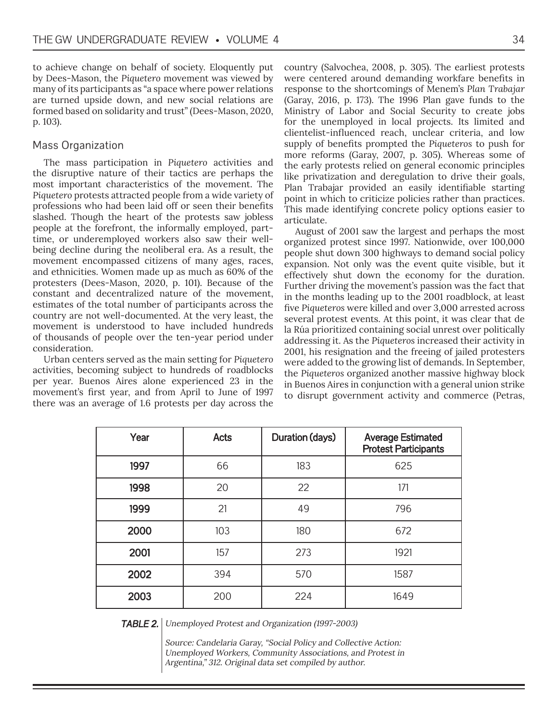to achieve change on behalf of society. Eloquently put by Dees-Mason, the *Piquetero* movement was viewed by many of its participants as "a space where power relations are turned upside down, and new social relations are formed based on solidarity and trust" (Dees-Mason, 2020, p. 103).

## Mass Organization

The mass participation in *Piquetero* activities and the disruptive nature of their tactics are perhaps the most important characteristics of the movement. The *Piquetero* protests attracted people from a wide variety of professions who had been laid off or seen their benefits slashed. Though the heart of the protests saw jobless people at the forefront, the informally employed, parttime, or underemployed workers also saw their wellbeing decline during the neoliberal era. As a result, the movement encompassed citizens of many ages, races, and ethnicities. Women made up as much as 60% of the protesters (Dees-Mason, 2020, p. 101). Because of the constant and decentralized nature of the movement, estimates of the total number of participants across the country are not well-documented. At the very least, the movement is understood to have included hundreds of thousands of people over the ten-year period under consideration.

Urban centers served as the main setting for *Piquetero* activities, becoming subject to hundreds of roadblocks per year. Buenos Aires alone experienced 23 in the movement's first year, and from April to June of 1997 there was an average of 1.6 protests per day across the country (Salvochea, 2008, p. 305). The earliest protests were centered around demanding workfare benefits in response to the shortcomings of Menem's *Plan Trabajar* (Garay, 2016, p. 173). The 1996 Plan gave funds to the Ministry of Labor and Social Security to create jobs for the unemployed in local projects. Its limited and clientelist-influenced reach, unclear criteria, and low supply of benefits prompted the *Piqueteros* to push for more reforms (Garay, 2007, p. 305). Whereas some of the early protests relied on general economic principles like privatization and deregulation to drive their goals, Plan Trabajar provided an easily identifiable starting point in which to criticize policies rather than practices. This made identifying concrete policy options easier to articulate.

August of 2001 saw the largest and perhaps the most organized protest since 1997. Nationwide, over 100,000 people shut down 300 highways to demand social policy expansion. Not only was the event quite visible, but it effectively shut down the economy for the duration. Further driving the movement's passion was the fact that in the months leading up to the 2001 roadblock, at least five *Piqueteros* were killed and over 3,000 arrested across several protest events. At this point, it was clear that de la Rúa prioritized containing social unrest over politically addressing it. As the *Piqueteros* increased their activity in 2001, his resignation and the freeing of jailed protesters were added to the growing list of demands. In September, the *Piqueteros* organized another massive highway block in Buenos Aires in conjunction with a general union strike to disrupt government activity and commerce (Petras,

| Year | <b>Acts</b> | Duration (days) | <b>Average Estimated</b><br><b>Protest Participants</b> |
|------|-------------|-----------------|---------------------------------------------------------|
| 1997 | 66          | 183             | 625                                                     |
| 1998 | 20          | 22              | 171                                                     |
| 1999 | 21          | 49              | 796                                                     |
| 2000 | 103         | 180             | 672                                                     |
| 2001 | 157         | 273             | 1921                                                    |
| 2002 | 394         | 570             | 1587                                                    |
| 2003 | 200         | 224             | 1649                                                    |

**TABLE 2.** Unemployed Protest and Organization (1997-2003)

Source: Candelaria Garay, "Social Policy and Collective Action: Unemployed Workers, Community Associations, and Protest in Argentina," 312. Original data set compiled by author.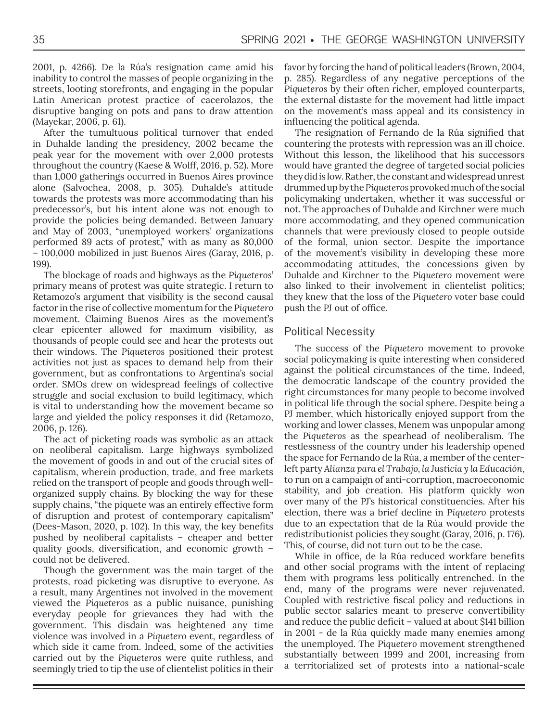2001, p. 4266). De la Rúa's resignation came amid his inability to control the masses of people organizing in the streets, looting storefronts, and engaging in the popular Latin American protest practice of cacerolazos, the disruptive banging on pots and pans to draw attention (Mayekar, 2006, p. 61).

After the tumultuous political turnover that ended in Duhalde landing the presidency, 2002 became the peak year for the movement with over 2,000 protests throughout the country (Kaese & Wolff, 2016, p. 52). More than 1,000 gatherings occurred in Buenos Aires province alone (Salvochea, 2008, p. 305). Duhalde's attitude towards the protests was more accommodating than his predecessor's, but his intent alone was not enough to provide the policies being demanded. Between January and May of 2003, "unemployed workers' organizations performed 89 acts of protest," with as many as 80,000 – 100,000 mobilized in just Buenos Aires (Garay, 2016, p. 199).

The blockage of roads and highways as the *Piqueteros*' primary means of protest was quite strategic. I return to Retamozo's argument that visibility is the second causal factor in the rise of collective momentum for the *Piquetero* movement. Claiming Buenos Aires as the movement's clear epicenter allowed for maximum visibility, as thousands of people could see and hear the protests out their windows. The *Piqueteros* positioned their protest activities not just as spaces to demand help from their government, but as confrontations to Argentina's social order. SMOs drew on widespread feelings of collective struggle and social exclusion to build legitimacy, which is vital to understanding how the movement became so large and yielded the policy responses it did (Retamozo, 2006, p. 126).

The act of picketing roads was symbolic as an attack on neoliberal capitalism. Large highways symbolized the movement of goods in and out of the crucial sites of capitalism, wherein production, trade, and free markets relied on the transport of people and goods through wellorganized supply chains. By blocking the way for these supply chains, "the piquete was an entirely effective form of disruption and protest of contemporary capitalism" (Dees-Mason, 2020, p. 102). In this way, the key benefits pushed by neoliberal capitalists – cheaper and better quality goods, diversification, and economic growth – could not be delivered.

Though the government was the main target of the protests, road picketing was disruptive to everyone. As a result, many Argentines not involved in the movement viewed the *Piqueteros* as a public nuisance, punishing everyday people for grievances they had with the government. This disdain was heightened any time violence was involved in a *Piquetero* event, regardless of which side it came from. Indeed, some of the activities carried out by the *Piqueteros* were quite ruthless, and seemingly tried to tip the use of clientelist politics in their

favor by forcing the hand of political leaders (Brown, 2004, p. 285). Regardless of any negative perceptions of the *Piqueteros* by their often richer, employed counterparts, the external distaste for the movement had little impact on the movement's mass appeal and its consistency in influencing the political agenda.

The resignation of Fernando de la Rúa signified that countering the protests with repression was an ill choice. Without this lesson, the likelihood that his successors would have granted the degree of targeted social policies they did is low. Rather, the constant and widespread unrest drummed up by the *Piqueteros* provoked much of the social policymaking undertaken, whether it was successful or not. The approaches of Duhalde and Kirchner were much more accommodating, and they opened communication channels that were previously closed to people outside of the formal, union sector. Despite the importance of the movement's visibility in developing these more accommodating attitudes, the concessions given by Duhalde and Kirchner to the *Piquetero* movement were also linked to their involvement in clientelist politics; they knew that the loss of the *Piquetero* voter base could push the PJ out of office.

## Political Necessity

The success of the *Piquetero* movement to provoke social policymaking is quite interesting when considered against the political circumstances of the time. Indeed, the democratic landscape of the country provided the right circumstances for many people to become involved in political life through the social sphere. Despite being a PJ member, which historically enjoyed support from the working and lower classes, Menem was unpopular among the *Piqueteros* as the spearhead of neoliberalism. The restlessness of the country under his leadership opened the space for Fernando de la Rúa, a member of the centerleft party *Alianza para el Trabajo, la Justicia y la Educación*, to run on a campaign of anti-corruption, macroeconomic stability, and job creation. His platform quickly won over many of the PJ's historical constituencies. After his election, there was a brief decline in *Piquetero* protests due to an expectation that de la Rúa would provide the redistributionist policies they sought (Garay, 2016, p. 176). This, of course, did not turn out to be the case.

While in office, de la Rúa reduced workfare benefits and other social programs with the intent of replacing them with programs less politically entrenched. In the end, many of the programs were never rejuvenated. Coupled with restrictive fiscal policy and reductions in public sector salaries meant to preserve convertibility and reduce the public deficit – valued at about \$141 billion in 2001 - de la Rúa quickly made many enemies among the unemployed. The *Piquetero* movement strengthened substantially between 1999 and 2001, increasing from a territorialized set of protests into a national-scale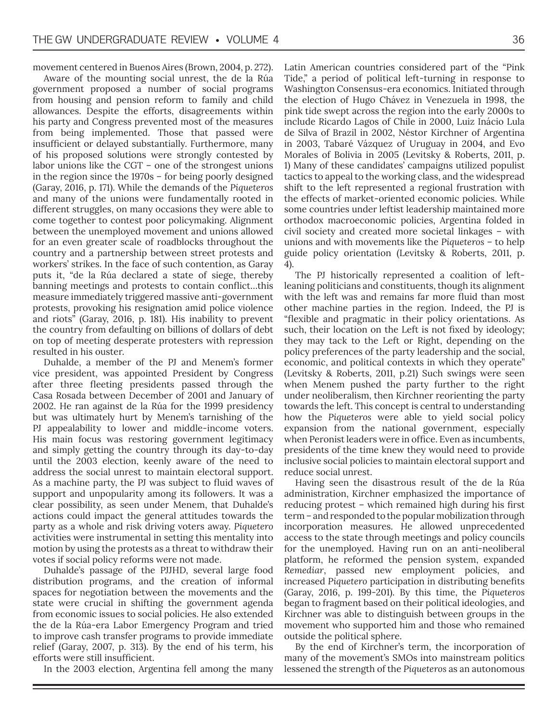movement centered in Buenos Aires (Brown, 2004, p. 272).

Aware of the mounting social unrest, the de la Rúa government proposed a number of social programs from housing and pension reform to family and child allowances. Despite the efforts, disagreements within his party and Congress prevented most of the measures from being implemented. Those that passed were insufficient or delayed substantially. Furthermore, many of his proposed solutions were strongly contested by labor unions like the CGT – one of the strongest unions in the region since the 1970s – for being poorly designed (Garay, 2016, p. 171). While the demands of the *Piqueteros* and many of the unions were fundamentally rooted in different struggles, on many occasions they were able to come together to contest poor policymaking. Alignment between the unemployed movement and unions allowed for an even greater scale of roadblocks throughout the country and a partnership between street protests and workers' strikes. In the face of such contention, as Garay puts it, "de la Rúa declared a state of siege, thereby banning meetings and protests to contain conflict…this measure immediately triggered massive anti-government protests, provoking his resignation amid police violence and riots" (Garay, 2016, p. 181). His inability to prevent the country from defaulting on billions of dollars of debt on top of meeting desperate protesters with repression resulted in his ouster.

Duhalde, a member of the PJ and Menem's former vice president, was appointed President by Congress after three fleeting presidents passed through the Casa Rosada between December of 2001 and January of 2002. He ran against de la Rúa for the 1999 presidency but was ultimately hurt by Menem's tarnishing of the PJ appealability to lower and middle-income voters. His main focus was restoring government legitimacy and simply getting the country through its day-to-day until the 2003 election, keenly aware of the need to address the social unrest to maintain electoral support. As a machine party, the PJ was subject to fluid waves of support and unpopularity among its followers. It was a clear possibility, as seen under Menem, that Duhalde's actions could impact the general attitudes towards the party as a whole and risk driving voters away. *Piquetero* activities were instrumental in setting this mentality into motion by using the protests as a threat to withdraw their votes if social policy reforms were not made.

Duhalde's passage of the PJJHD, several large food distribution programs, and the creation of informal spaces for negotiation between the movements and the state were crucial in shifting the government agenda from economic issues to social policies. He also extended the de la Rúa-era Labor Emergency Program and tried to improve cash transfer programs to provide immediate relief (Garay, 2007, p. 313). By the end of his term, his efforts were still insufficient.

In the 2003 election, Argentina fell among the many

Latin American countries considered part of the "Pink Tide," a period of political left-turning in response to Washington Consensus-era economics. Initiated through the election of Hugo Chávez in Venezuela in 1998, the pink tide swept across the region into the early 2000s to include Ricardo Lagos of Chile in 2000, Luiz Inácio Lula de Silva of Brazil in 2002, Néstor Kirchner of Argentina in 2003, Tabaré Vázquez of Uruguay in 2004, and Evo Morales of Bolivia in 2005 (Levitsky & Roberts, 2011, p. 1) Many of these candidates' campaigns utilized populist tactics to appeal to the working class, and the widespread shift to the left represented a regional frustration with the effects of market-oriented economic policies. While some countries under leftist leadership maintained more orthodox macroeconomic policies, Argentina folded in civil society and created more societal linkages – with unions and with movements like the *Piqueteros* – to help guide policy orientation (Levitsky & Roberts, 2011, p. 4).

The PJ historically represented a coalition of leftleaning politicians and constituents, though its alignment with the left was and remains far more fluid than most other machine parties in the region. Indeed, the PJ is "flexible and pragmatic in their policy orientations. As such, their location on the Left is not fixed by ideology; they may tack to the Left or Right, depending on the policy preferences of the party leadership and the social, economic, and political contexts in which they operate" (Levitsky & Roberts, 2011, p.21) Such swings were seen when Menem pushed the party further to the right under neoliberalism, then Kirchner reorienting the party towards the left. This concept is central to understanding how the *Piqueteros* were able to yield social policy expansion from the national government, especially when Peronist leaders were in office. Even as incumbents, presidents of the time knew they would need to provide inclusive social policies to maintain electoral support and reduce social unrest.

Having seen the disastrous result of the de la Rúa administration, Kirchner emphasized the importance of reducing protest – which remained high during his first term – and responded to the popular mobilization through incorporation measures. He allowed unprecedented access to the state through meetings and policy councils for the unemployed. Having run on an anti-neoliberal platform, he reformed the pension system, expanded *Remediar*, passed new employment policies, and increased *Piquetero* participation in distributing benefits (Garay, 2016, p. 199-201). By this time, the *Piqueteros* began to fragment based on their political ideologies, and Kirchner was able to distinguish between groups in the movement who supported him and those who remained outside the political sphere.

By the end of Kirchner's term, the incorporation of many of the movement's SMOs into mainstream politics lessened the strength of the *Piqueteros* as an autonomous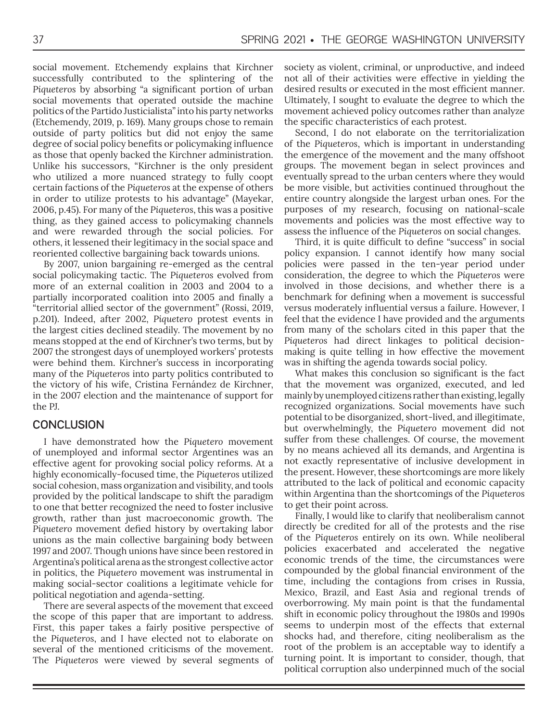social movement. Etchemendy explains that Kirchner successfully contributed to the splintering of the *Piqueteros* by absorbing "a significant portion of urban social movements that operated outside the machine politics of the Partido Justicialista" into his party networks (Etchemendy, 2019, p. 169). Many groups chose to remain outside of party politics but did not enjoy the same degree of social policy benefits or policymaking influence as those that openly backed the Kirchner administration. Unlike his successors, "Kirchner is the only president who utilized a more nuanced strategy to fully coopt certain factions of the *Piqueteros* at the expense of others in order to utilize protests to his advantage" (Mayekar, 2006, p.45). For many of the *Piqueteros*, this was a positive thing, as they gained access to policymaking channels and were rewarded through the social policies. For others, it lessened their legitimacy in the social space and reoriented collective bargaining back towards unions.

By 2007, union bargaining re-emerged as the central social policymaking tactic. The *Piqueteros* evolved from more of an external coalition in 2003 and 2004 to a partially incorporated coalition into 2005 and finally a "territorial allied sector of the government" (Rossi, 2019, p.201). Indeed, after 2002, *Piquetero* protest events in the largest cities declined steadily. The movement by no means stopped at the end of Kirchner's two terms, but by 2007 the strongest days of unemployed workers' protests were behind them. Kirchner's success in incorporating many of the *Piqueteros* into party politics contributed to the victory of his wife, Cristina Fernández de Kirchner, in the 2007 election and the maintenance of support for the PJ.

## **CONCLUSION**

I have demonstrated how the *Piquetero* movement of unemployed and informal sector Argentines was an effective agent for provoking social policy reforms. At a highly economically-focused time, the *Piqueteros* utilized social cohesion, mass organization and visibility, and tools provided by the political landscape to shift the paradigm to one that better recognized the need to foster inclusive growth, rather than just macroeconomic growth. The *Piquetero* movement defied history by overtaking labor unions as the main collective bargaining body between 1997 and 2007. Though unions have since been restored in Argentina's political arena as the strongest collective actor in politics, the *Piquetero* movement was instrumental in making social-sector coalitions a legitimate vehicle for political negotiation and agenda-setting.

There are several aspects of the movement that exceed the scope of this paper that are important to address. First, this paper takes a fairly positive perspective of the *Piqueteros*, and I have elected not to elaborate on several of the mentioned criticisms of the movement. The *Piqueteros* were viewed by several segments of society as violent, criminal, or unproductive, and indeed not all of their activities were effective in yielding the desired results or executed in the most efficient manner. Ultimately, I sought to evaluate the degree to which the movement achieved policy outcomes rather than analyze the specific characteristics of each protest.

Second, I do not elaborate on the territorialization of the *Piqueteros*, which is important in understanding the emergence of the movement and the many offshoot groups. The movement began in select provinces and eventually spread to the urban centers where they would be more visible, but activities continued throughout the entire country alongside the largest urban ones. For the purposes of my research, focusing on national-scale movements and policies was the most effective way to assess the influence of the *Piqueteros* on social changes.

Third, it is quite difficult to define "success" in social policy expansion. I cannot identify how many social policies were passed in the ten-year period under consideration, the degree to which the *Piqueteros* were involved in those decisions, and whether there is a benchmark for defining when a movement is successful versus moderately influential versus a failure. However, I feel that the evidence I have provided and the arguments from many of the scholars cited in this paper that the *Piqueteros* had direct linkages to political decisionmaking is quite telling in how effective the movement was in shifting the agenda towards social policy.

What makes this conclusion so significant is the fact that the movement was organized, executed, and led mainly by unemployed citizens rather than existing, legally recognized organizations. Social movements have such potential to be disorganized, short-lived, and illegitimate, but overwhelmingly, the *Piquetero* movement did not suffer from these challenges. Of course, the movement by no means achieved all its demands, and Argentina is not exactly representative of inclusive development in the present. However, these shortcomings are more likely attributed to the lack of political and economic capacity within Argentina than the shortcomings of the *Piqueteros* to get their point across.

Finally, I would like to clarify that neoliberalism cannot directly be credited for all of the protests and the rise of the *Piqueteros* entirely on its own. While neoliberal policies exacerbated and accelerated the negative economic trends of the time, the circumstances were compounded by the global financial environment of the time, including the contagions from crises in Russia, Mexico, Brazil, and East Asia and regional trends of overborrowing. My main point is that the fundamental shift in economic policy throughout the 1980s and 1990s seems to underpin most of the effects that external shocks had, and therefore, citing neoliberalism as the root of the problem is an acceptable way to identify a turning point. It is important to consider, though, that political corruption also underpinned much of the social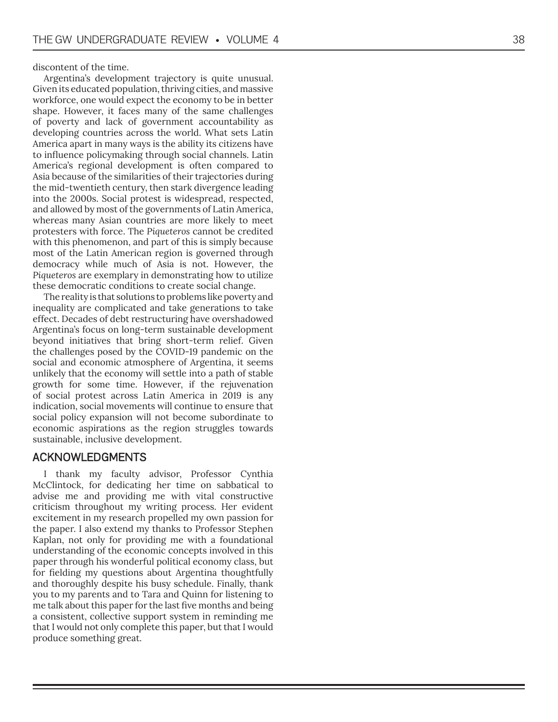discontent of the time.

Argentina's development trajectory is quite unusual. Given its educated population, thriving cities, and massive workforce, one would expect the economy to be in better shape. However, it faces many of the same challenges of poverty and lack of government accountability as developing countries across the world. What sets Latin America apart in many ways is the ability its citizens have to influence policymaking through social channels. Latin America's regional development is often compared to Asia because of the similarities of their trajectories during the mid-twentieth century, then stark divergence leading into the 2000s. Social protest is widespread, respected, and allowed by most of the governments of Latin America, whereas many Asian countries are more likely to meet protesters with force. The *Piqueteros* cannot be credited with this phenomenon, and part of this is simply because most of the Latin American region is governed through democracy while much of Asia is not. However, the *Piqueteros* are exemplary in demonstrating how to utilize these democratic conditions to create social change.

The reality is that solutions to problems like poverty and inequality are complicated and take generations to take effect. Decades of debt restructuring have overshadowed Argentina's focus on long-term sustainable development beyond initiatives that bring short-term relief. Given the challenges posed by the COVID-19 pandemic on the social and economic atmosphere of Argentina, it seems unlikely that the economy will settle into a path of stable growth for some time. However, if the rejuvenation of social protest across Latin America in 2019 is any indication, social movements will continue to ensure that social policy expansion will not become subordinate to economic aspirations as the region struggles towards sustainable, inclusive development.

## ACKNOWLEDGMENTS

I thank my faculty advisor, Professor Cynthia McClintock, for dedicating her time on sabbatical to advise me and providing me with vital constructive criticism throughout my writing process. Her evident excitement in my research propelled my own passion for the paper. I also extend my thanks to Professor Stephen Kaplan, not only for providing me with a foundational understanding of the economic concepts involved in this paper through his wonderful political economy class, but for fielding my questions about Argentina thoughtfully and thoroughly despite his busy schedule. Finally, thank you to my parents and to Tara and Quinn for listening to me talk about this paper for the last five months and being a consistent, collective support system in reminding me that I would not only complete this paper, but that I would produce something great.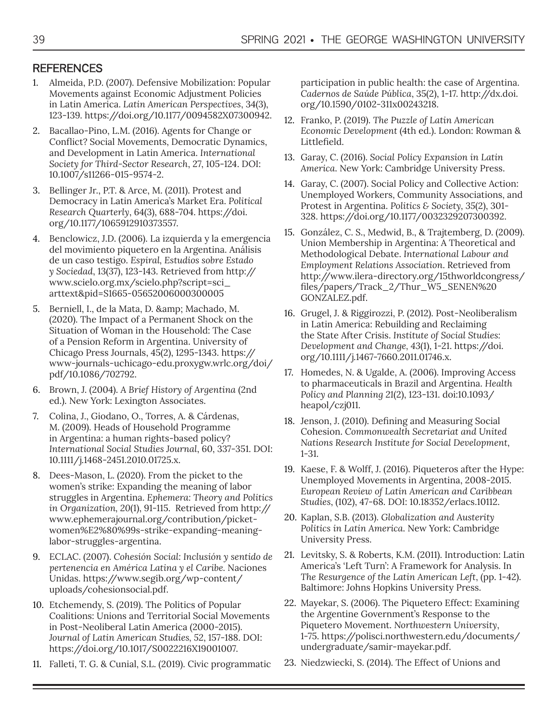## **REFERENCES**

- 1. Almeida, P.D. (2007). Defensive Mobilization: Popular Movements against Economic Adjustment Policies in Latin America. *Latin American Perspectives*, 34(3), 123-139. https://doi.org/10.1177/0094582X07300942.
- 2. Bacallao-Pino, L.M. (2016). Agents for Change or Conflict? Social Movements, Democratic Dynamics, and Development in Latin America. *International Society for Third-Sector Research*, 27, 105-124. DOI: 10.1007/s11266-015-9574-2.
- 3. Bellinger Jr., P.T. & Arce, M. (2011). Protest and Democracy in Latin America's Market Era. *Political Research Quarterly*, 64(3), 688-704. https://doi. org/10.1177/1065912910373557.
- 4. Benclowicz, J.D. (2006). La izquierda y la emergencia del movimiento piquetero en la Argentina. Análisis de un caso testigo. *Espiral, Estudios sobre Estado y Sociedad*, 13(37), 123-143. Retrieved from http:// www.scielo.org.mx/scielo.php?script=sci\_ arttext&pid=S1665-05652006000300005
- 5. Berniell, I., de la Mata, D. & amp; Machado, M. (2020). The Impact of a Permanent Shock on the Situation of Woman in the Household: The Case of a Pension Reform in Argentina. University of Chicago Press Journals, 45(2), 1295-1343. https:// www-journals-uchicago-edu.proxygw.wrlc.org/doi/ pdf/10.1086/702792.
- 6. Brown, J. (2004). *A Brief History of Argentina* (2nd ed.). New York: Lexington Associates.
- 7. Colina, J., Giodano, O., Torres, A. & Cárdenas, M. (2009). Heads of Household Programme in Argentina: a human rights-based policy? *International Social Studies Journal*, 60, 337-351. DOI: 10.1111/j.1468-2451.2010.01725.x.
- 8. Dees-Mason, L. (2020). From the picket to the women's strike: Expanding the meaning of labor struggles in Argentina. *Ephemera: Theory and Politics in Organization, 20*(1), 91-115. Retrieved from http:// www.ephemerajournal.org/contribution/picketwomen%E2%80%99s-strike-expanding-meaninglabor-struggles-argentina.
- 9. ECLAC. (2007). *Cohesión Social: Inclusión y sentido de pertenencia en América Latina y el Caribe.* Naciones Unidas. https://www.segib.org/wp-content/ uploads/cohesionsocial.pdf.
- 10. Etchemendy, S. (2019). The Politics of Popular Coalitions: Unions and Territorial Social Movements in Post-Neoliberal Latin America (2000-2015). *Journal of Latin American Studies, 52*, 157-188. DOI: https://doi.org/10.1017/S0022216X19001007.
- 11. Falleti, T. G. & Cunial, S.L. (2019). Civic programmatic

participation in public health: the case of Argentina. *Cadernos de Saúde Pública*, 35(2), 1-17. http://dx.doi. org/10.1590/0102-311x00243218.

- 12. Franko, P. (2019). *The Puzzle of Latin American Economic Development* (4th ed.). London: Rowman & Littlefield.
- 13. Garay, C. (2016). *Social Policy Expansion in Latin America*. New York: Cambridge University Press.
- 14. Garay, C. (2007). Social Policy and Collective Action: Unemployed Workers, Community Associations, and Protest in Argentina. *Politics & Society, 35*(2), 301- 328. https://doi.org/10.1177/0032329207300392.
- 15. González, C. S., Medwid, B., & Trajtemberg, D. (2009). Union Membership in Argentina: A Theoretical and Methodological Debate. *International Labour and Employment Relations Association*. Retrieved from http://www.ilera-directory.org/15thworldcongress/ files/papers/Track\_2/Thur\_W5\_SENEN%20 GONZALEZ.pdf.
- 16. Grugel, J. & Riggirozzi, P. (2012). Post-Neoliberalism in Latin America: Rebuilding and Reclaiming the State After Crisis. *Institute of Social Studies: Development and Change, 43*(1), 1-21. https://doi. org/10.1111/j.1467-7660.2011.01746.x.
- 17. Homedes, N. & Ugalde, A. (2006). Improving Access to pharmaceuticals in Brazil and Argentina. *Health Policy and Planning 21*(2), 123-131. doi:10.1093/ heapol/czj011.
- 18. Jenson, J. (2010). Defining and Measuring Social Cohesion. *Commonwealth Secretariat and United Nations Research Institute for Social Development*, 1-31.
- 19. Kaese, F. & Wolff, J. (2016). Piqueteros after the Hype: Unemployed Movements in Argentina, 2008-2015. *European Review of Latin American and Caribbean Studies*, (102), 47-68. DOI: 10.18352/erlacs.10112.
- 20. Kaplan, S.B. (2013). *Globalization and Austerity Politics in Latin America*. New York: Cambridge University Press.
- 21. Levitsky, S. & Roberts, K.M. (2011). Introduction: Latin America's 'Left Turn': A Framework for Analysis. In *The Resurgence of the Latin American Left*, (pp. 1-42). Baltimore: Johns Hopkins University Press.
- 22. Mayekar, S. (2006). The Piquetero Effect: Examining the Argentine Government's Response to the Piquetero Movement. *Northwestern University*, 1-75. https://polisci.northwestern.edu/documents/ undergraduate/samir-mayekar.pdf.
- 23. Niedzwiecki, S. (2014). The Effect of Unions and